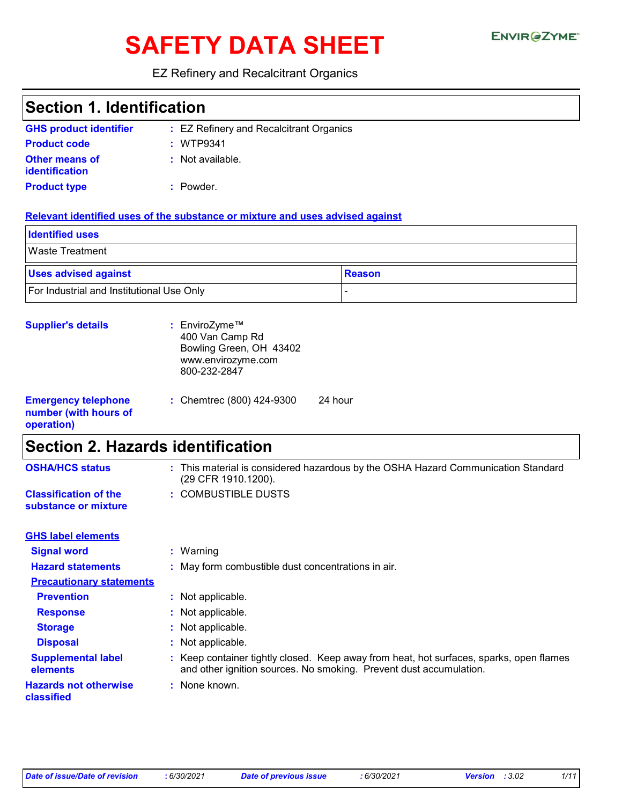# SAFETY DATA SHEET ENVIRGETMEN

#### EZ Refinery and Recalcitrant Organics

| <b>Section 1. Identification</b>                                  |                                                                                                                                                               |  |  |
|-------------------------------------------------------------------|---------------------------------------------------------------------------------------------------------------------------------------------------------------|--|--|
| <b>GHS product identifier</b>                                     | : EZ Refinery and Recalcitrant Organics                                                                                                                       |  |  |
| <b>Product code</b>                                               | : WTP9341                                                                                                                                                     |  |  |
| <b>Other means of</b><br>identification                           | : Not available.                                                                                                                                              |  |  |
| <b>Product type</b>                                               | : Powder.                                                                                                                                                     |  |  |
|                                                                   | Relevant identified uses of the substance or mixture and uses advised against                                                                                 |  |  |
| <b>Identified uses</b>                                            |                                                                                                                                                               |  |  |
| <b>Waste Treatment</b>                                            |                                                                                                                                                               |  |  |
| <b>Uses advised against</b>                                       | <b>Reason</b>                                                                                                                                                 |  |  |
| For Industrial and Institutional Use Only                         | $\overline{a}$                                                                                                                                                |  |  |
| <b>Supplier's details</b>                                         | : EnviroZyme™<br>400 Van Camp Rd<br>Bowling Green, OH 43402<br>www.envirozyme.com<br>800-232-2847                                                             |  |  |
| <b>Emergency telephone</b><br>number (with hours of<br>operation) | 24 hour<br>: Chemtrec (800) 424-9300                                                                                                                          |  |  |
| <b>Section 2. Hazards identification</b>                          |                                                                                                                                                               |  |  |
| <b>OSHA/HCS status</b>                                            | : This material is considered hazardous by the OSHA Hazard Communication Standard<br>(29 CFR 1910.1200).                                                      |  |  |
| <b>Classification of the</b><br>substance or mixture              | : COMBUSTIBLE DUSTS                                                                                                                                           |  |  |
| <b>GHS label elements</b>                                         |                                                                                                                                                               |  |  |
| <b>Signal word</b>                                                | : Warning                                                                                                                                                     |  |  |
| <b>Hazard statements</b>                                          | : May form combustible dust concentrations in air.                                                                                                            |  |  |
| <b>Precautionary statements</b>                                   |                                                                                                                                                               |  |  |
| <b>Prevention</b>                                                 | : Not applicable.                                                                                                                                             |  |  |
| <b>Response</b>                                                   | Not applicable.                                                                                                                                               |  |  |
| <b>Storage</b>                                                    | Not applicable.                                                                                                                                               |  |  |
| <b>Disposal</b>                                                   | Not applicable.                                                                                                                                               |  |  |
| <b>Supplemental label</b><br>elements                             | : Keep container tightly closed. Keep away from heat, hot surfaces, sparks, open flames<br>and other ignition sources. No smoking. Prevent dust accumulation. |  |  |
| <b>Hazards not otherwise</b><br>classified                        | : None known.                                                                                                                                                 |  |  |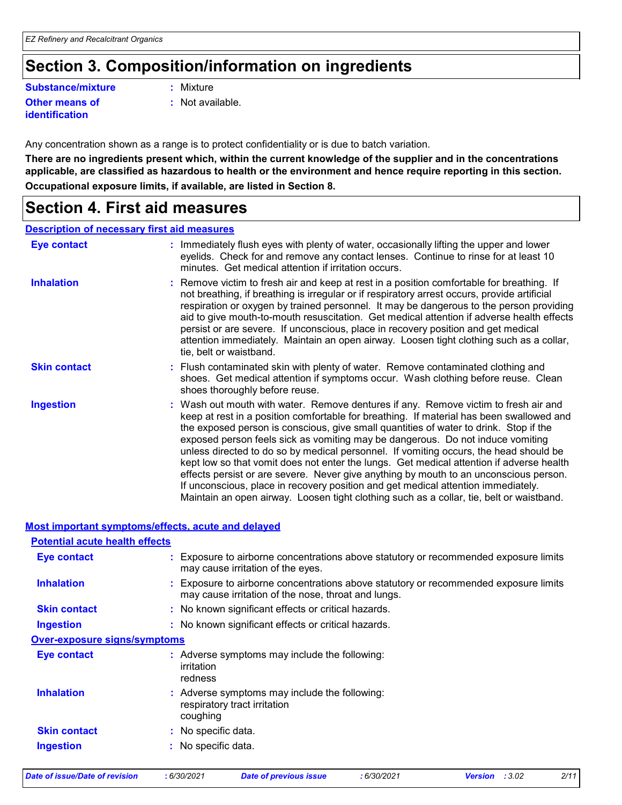# **Section 3. Composition/information on ingredients**

#### **Substance/mixture :**

**Other means of identification**

- : Mixture
- **:** Not available.

Any concentration shown as a range is to protect confidentiality or is due to batch variation.

**There are no ingredients present which, within the current knowledge of the supplier and in the concentrations applicable, are classified as hazardous to health or the environment and hence require reporting in this section. Occupational exposure limits, if available, are listed in Section 8.**

### **Section 4. First aid measures**

#### **Description of necessary first aid measures**

| Eye contact         | : Immediately flush eyes with plenty of water, occasionally lifting the upper and lower<br>eyelids. Check for and remove any contact lenses. Continue to rinse for at least 10<br>minutes. Get medical attention if irritation occurs.                                                                                                                                                                                                                                                                                                                                                                                                                                                                                                                                                                                    |
|---------------------|---------------------------------------------------------------------------------------------------------------------------------------------------------------------------------------------------------------------------------------------------------------------------------------------------------------------------------------------------------------------------------------------------------------------------------------------------------------------------------------------------------------------------------------------------------------------------------------------------------------------------------------------------------------------------------------------------------------------------------------------------------------------------------------------------------------------------|
| <b>Inhalation</b>   | : Remove victim to fresh air and keep at rest in a position comfortable for breathing. If<br>not breathing, if breathing is irregular or if respiratory arrest occurs, provide artificial<br>respiration or oxygen by trained personnel. It may be dangerous to the person providing<br>aid to give mouth-to-mouth resuscitation. Get medical attention if adverse health effects<br>persist or are severe. If unconscious, place in recovery position and get medical<br>attention immediately. Maintain an open airway. Loosen tight clothing such as a collar,<br>tie, belt or waistband.                                                                                                                                                                                                                              |
| <b>Skin contact</b> | : Flush contaminated skin with plenty of water. Remove contaminated clothing and<br>shoes. Get medical attention if symptoms occur. Wash clothing before reuse. Clean<br>shoes thoroughly before reuse.                                                                                                                                                                                                                                                                                                                                                                                                                                                                                                                                                                                                                   |
| <b>Ingestion</b>    | : Wash out mouth with water. Remove dentures if any. Remove victim to fresh air and<br>keep at rest in a position comfortable for breathing. If material has been swallowed and<br>the exposed person is conscious, give small quantities of water to drink. Stop if the<br>exposed person feels sick as vomiting may be dangerous. Do not induce vomiting<br>unless directed to do so by medical personnel. If vomiting occurs, the head should be<br>kept low so that vomit does not enter the lungs. Get medical attention if adverse health<br>effects persist or are severe. Never give anything by mouth to an unconscious person.<br>If unconscious, place in recovery position and get medical attention immediately.<br>Maintain an open airway. Loosen tight clothing such as a collar, tie, belt or waistband. |

#### **Most important symptoms/effects, acute and delayed**

| <b>Potential acute health effects</b> |                                                                                                                                             |
|---------------------------------------|---------------------------------------------------------------------------------------------------------------------------------------------|
| <b>Eye contact</b>                    | : Exposure to airborne concentrations above statutory or recommended exposure limits<br>may cause irritation of the eyes.                   |
| <b>Inhalation</b>                     | : Exposure to airborne concentrations above statutory or recommended exposure limits<br>may cause irritation of the nose, throat and lungs. |
| <b>Skin contact</b>                   | : No known significant effects or critical hazards.                                                                                         |
| <b>Ingestion</b>                      | : No known significant effects or critical hazards.                                                                                         |
| <b>Over-exposure signs/symptoms</b>   |                                                                                                                                             |
| Eye contact                           | : Adverse symptoms may include the following:<br>irritation<br>redness                                                                      |
| <b>Inhalation</b>                     | : Adverse symptoms may include the following:<br>respiratory tract irritation<br>coughing                                                   |
| <b>Skin contact</b>                   | : No specific data.                                                                                                                         |
| Ingestion                             | : No specific data.                                                                                                                         |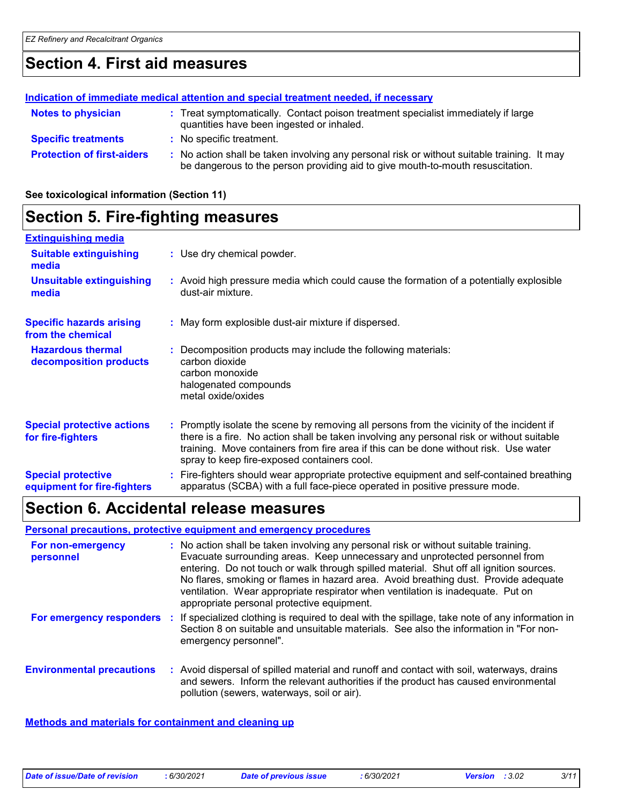# **Section 4. First aid measures**

#### **Protection of first-aiders** : No action shall be taken involving any personal risk or without suitable training. It may be dangerous to the person providing aid to give mouth-to-mouth resuscitation. **Notes to physician <b>:** Treat symptomatically. Contact poison treatment specialist immediately if large quantities have been ingested or inhaled. **Specific treatments :** No specific treatment. **Indication of immediate medical attention and special treatment needed, if necessary**

**See toxicological information (Section 11)**

# **Section 5. Fire-fighting measures**

| <b>Extinguishing media</b>                               |                                                                                                                                                                                                                                                                                                                               |
|----------------------------------------------------------|-------------------------------------------------------------------------------------------------------------------------------------------------------------------------------------------------------------------------------------------------------------------------------------------------------------------------------|
| <b>Suitable extinguishing</b><br>media                   | : Use dry chemical powder.                                                                                                                                                                                                                                                                                                    |
| <b>Unsuitable extinguishing</b><br>media                 | : Avoid high pressure media which could cause the formation of a potentially explosible<br>dust-air mixture.                                                                                                                                                                                                                  |
| <b>Specific hazards arising</b><br>from the chemical     | : May form explosible dust-air mixture if dispersed.                                                                                                                                                                                                                                                                          |
| <b>Hazardous thermal</b><br>decomposition products       | Decomposition products may include the following materials:<br>carbon dioxide<br>carbon monoxide<br>halogenated compounds<br>metal oxide/oxides                                                                                                                                                                               |
| <b>Special protective actions</b><br>for fire-fighters   | : Promptly isolate the scene by removing all persons from the vicinity of the incident if<br>there is a fire. No action shall be taken involving any personal risk or without suitable<br>training. Move containers from fire area if this can be done without risk. Use water<br>spray to keep fire-exposed containers cool. |
| <b>Special protective</b><br>equipment for fire-fighters | Fire-fighters should wear appropriate protective equipment and self-contained breathing<br>apparatus (SCBA) with a full face-piece operated in positive pressure mode.                                                                                                                                                        |

## **Section 6. Accidental release measures**

#### **Personal precautions, protective equipment and emergency procedures**

| For non-emergency<br>personnel   | : No action shall be taken involving any personal risk or without suitable training.<br>Evacuate surrounding areas. Keep unnecessary and unprotected personnel from<br>entering. Do not touch or walk through spilled material. Shut off all ignition sources.<br>No flares, smoking or flames in hazard area. Avoid breathing dust. Provide adequate<br>ventilation. Wear appropriate respirator when ventilation is inadequate. Put on<br>appropriate personal protective equipment. |
|----------------------------------|----------------------------------------------------------------------------------------------------------------------------------------------------------------------------------------------------------------------------------------------------------------------------------------------------------------------------------------------------------------------------------------------------------------------------------------------------------------------------------------|
| For emergency responders         | : If specialized clothing is required to deal with the spillage, take note of any information in<br>Section 8 on suitable and unsuitable materials. See also the information in "For non-<br>emergency personnel".                                                                                                                                                                                                                                                                     |
| <b>Environmental precautions</b> | : Avoid dispersal of spilled material and runoff and contact with soil, waterways, drains<br>and sewers. Inform the relevant authorities if the product has caused environmental<br>pollution (sewers, waterways, soil or air).                                                                                                                                                                                                                                                        |

#### **Methods and materials for containment and cleaning up**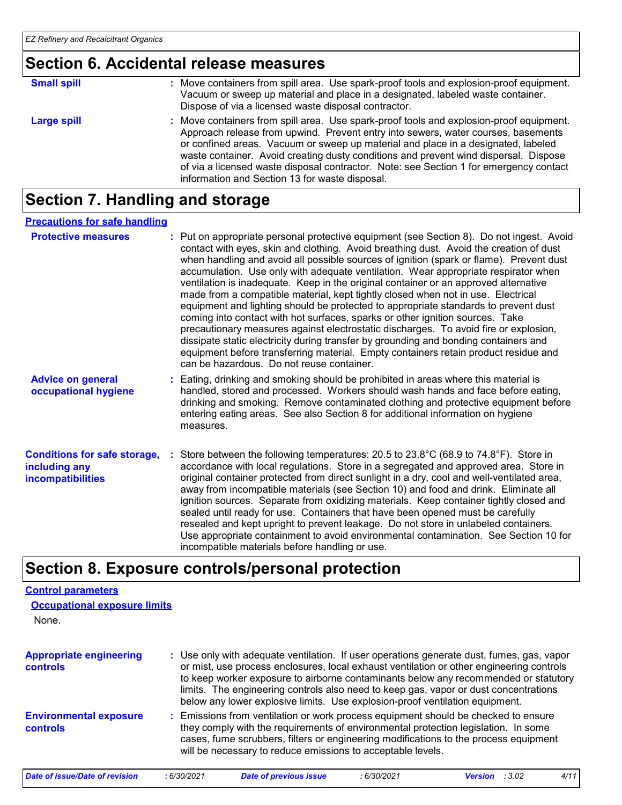# **Section 6. Accidental release measures**

| <b>Small spill</b> | : Move containers from spill area. Use spark-proof tools and explosion-proof equipment.<br>Vacuum or sweep up material and place in a designated, labeled waste container.<br>Dispose of via a licensed waste disposal contractor.                                                                                                                                                                                                                                                                    |
|--------------------|-------------------------------------------------------------------------------------------------------------------------------------------------------------------------------------------------------------------------------------------------------------------------------------------------------------------------------------------------------------------------------------------------------------------------------------------------------------------------------------------------------|
| <b>Large spill</b> | : Move containers from spill area. Use spark-proof tools and explosion-proof equipment.<br>Approach release from upwind. Prevent entry into sewers, water courses, basements<br>or confined areas. Vacuum or sweep up material and place in a designated, labeled<br>waste container. Avoid creating dusty conditions and prevent wind dispersal. Dispose<br>of via a licensed waste disposal contractor. Note: see Section 1 for emergency contact<br>information and Section 13 for waste disposal. |

# **Section 7. Handling and storage**

#### **Precautions for safe handling**

| <b>Protective measures</b>                                                       | : Put on appropriate personal protective equipment (see Section 8). Do not ingest. Avoid<br>contact with eyes, skin and clothing. Avoid breathing dust. Avoid the creation of dust<br>when handling and avoid all possible sources of ignition (spark or flame). Prevent dust<br>accumulation. Use only with adequate ventilation. Wear appropriate respirator when<br>ventilation is inadequate. Keep in the original container or an approved alternative<br>made from a compatible material, kept tightly closed when not in use. Electrical<br>equipment and lighting should be protected to appropriate standards to prevent dust<br>coming into contact with hot surfaces, sparks or other ignition sources. Take<br>precautionary measures against electrostatic discharges. To avoid fire or explosion,<br>dissipate static electricity during transfer by grounding and bonding containers and<br>equipment before transferring material. Empty containers retain product residue and<br>can be hazardous. Do not reuse container. |  |
|----------------------------------------------------------------------------------|---------------------------------------------------------------------------------------------------------------------------------------------------------------------------------------------------------------------------------------------------------------------------------------------------------------------------------------------------------------------------------------------------------------------------------------------------------------------------------------------------------------------------------------------------------------------------------------------------------------------------------------------------------------------------------------------------------------------------------------------------------------------------------------------------------------------------------------------------------------------------------------------------------------------------------------------------------------------------------------------------------------------------------------------|--|
| <b>Advice on general</b><br>occupational hygiene                                 | : Eating, drinking and smoking should be prohibited in areas where this material is<br>handled, stored and processed. Workers should wash hands and face before eating,<br>drinking and smoking. Remove contaminated clothing and protective equipment before<br>entering eating areas. See also Section 8 for additional information on hygiene<br>measures.                                                                                                                                                                                                                                                                                                                                                                                                                                                                                                                                                                                                                                                                               |  |
| <b>Conditions for safe storage,</b><br>including any<br><b>incompatibilities</b> | Store between the following temperatures: 20.5 to 23.8°C (68.9 to 74.8°F). Store in<br>accordance with local regulations. Store in a segregated and approved area. Store in<br>original container protected from direct sunlight in a dry, cool and well-ventilated area,<br>away from incompatible materials (see Section 10) and food and drink. Eliminate all<br>ignition sources. Separate from oxidizing materials. Keep container tightly closed and<br>sealed until ready for use. Containers that have been opened must be carefully<br>resealed and kept upright to prevent leakage. Do not store in unlabeled containers.<br>Use appropriate containment to avoid environmental contamination. See Section 10 for<br>incompatible materials before handling or use.                                                                                                                                                                                                                                                               |  |

# **Section 8. Exposure controls/personal protection**

| <b>Control parameters</b>                  |            |                                                                                                                                                                                                                                                                                                                                                                                                                                                      |             |                       |      |
|--------------------------------------------|------------|------------------------------------------------------------------------------------------------------------------------------------------------------------------------------------------------------------------------------------------------------------------------------------------------------------------------------------------------------------------------------------------------------------------------------------------------------|-------------|-----------------------|------|
| <b>Occupational exposure limits</b>        |            |                                                                                                                                                                                                                                                                                                                                                                                                                                                      |             |                       |      |
| None.                                      |            |                                                                                                                                                                                                                                                                                                                                                                                                                                                      |             |                       |      |
| <b>Appropriate engineering</b><br>controls |            | : Use only with adequate ventilation. If user operations generate dust, fumes, gas, vapor<br>or mist, use process enclosures, local exhaust ventilation or other engineering controls<br>to keep worker exposure to airborne contaminants below any recommended or statutory<br>limits. The engineering controls also need to keep gas, vapor or dust concentrations<br>below any lower explosive limits. Use explosion-proof ventilation equipment. |             |                       |      |
| <b>Environmental exposure</b><br>controls  |            | : Emissions from ventilation or work process equipment should be checked to ensure<br>they comply with the requirements of environmental protection legislation. In some<br>cases, fume scrubbers, filters or engineering modifications to the process equipment<br>will be necessary to reduce emissions to acceptable levels.                                                                                                                      |             |                       |      |
| <b>Date of issue/Date of revision</b>      | :6/30/2021 | <b>Date of previous issue</b>                                                                                                                                                                                                                                                                                                                                                                                                                        | : 6/30/2021 | <b>Version</b> : 3.02 | 4/11 |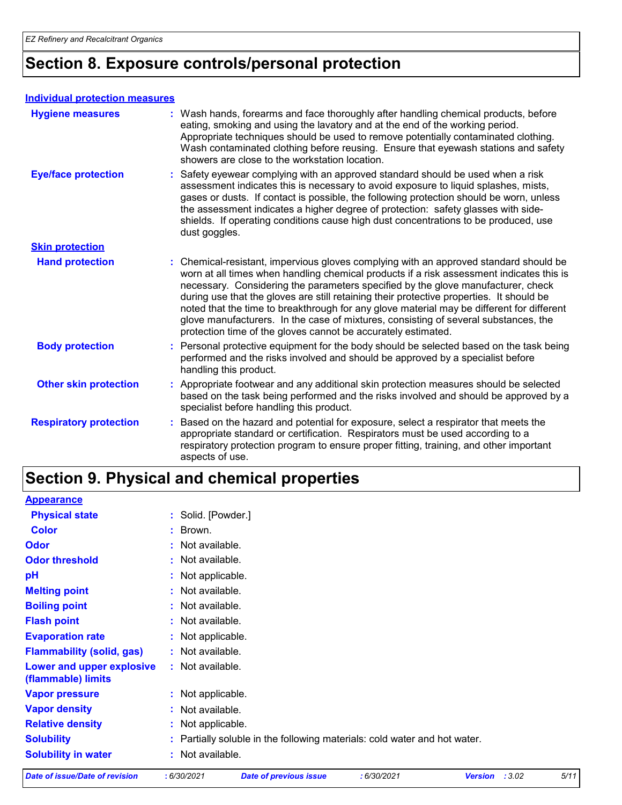# **Section 8. Exposure controls/personal protection**

#### **Individual protection measures**

| <b>Hygiene measures</b>       | : Wash hands, forearms and face thoroughly after handling chemical products, before<br>eating, smoking and using the lavatory and at the end of the working period.<br>Appropriate techniques should be used to remove potentially contaminated clothing.<br>Wash contaminated clothing before reusing. Ensure that eyewash stations and safety<br>showers are close to the workstation location.                                                                                                                                                                                                                      |
|-------------------------------|------------------------------------------------------------------------------------------------------------------------------------------------------------------------------------------------------------------------------------------------------------------------------------------------------------------------------------------------------------------------------------------------------------------------------------------------------------------------------------------------------------------------------------------------------------------------------------------------------------------------|
| <b>Eye/face protection</b>    | : Safety eyewear complying with an approved standard should be used when a risk<br>assessment indicates this is necessary to avoid exposure to liquid splashes, mists,<br>gases or dusts. If contact is possible, the following protection should be worn, unless<br>the assessment indicates a higher degree of protection: safety glasses with side-<br>shields. If operating conditions cause high dust concentrations to be produced, use<br>dust goggles.                                                                                                                                                         |
| <b>Skin protection</b>        |                                                                                                                                                                                                                                                                                                                                                                                                                                                                                                                                                                                                                        |
| <b>Hand protection</b>        | : Chemical-resistant, impervious gloves complying with an approved standard should be<br>worn at all times when handling chemical products if a risk assessment indicates this is<br>necessary. Considering the parameters specified by the glove manufacturer, check<br>during use that the gloves are still retaining their protective properties. It should be<br>noted that the time to breakthrough for any glove material may be different for different<br>glove manufacturers. In the case of mixtures, consisting of several substances, the<br>protection time of the gloves cannot be accurately estimated. |
| <b>Body protection</b>        | : Personal protective equipment for the body should be selected based on the task being<br>performed and the risks involved and should be approved by a specialist before<br>handling this product.                                                                                                                                                                                                                                                                                                                                                                                                                    |
| <b>Other skin protection</b>  | : Appropriate footwear and any additional skin protection measures should be selected<br>based on the task being performed and the risks involved and should be approved by a<br>specialist before handling this product.                                                                                                                                                                                                                                                                                                                                                                                              |
| <b>Respiratory protection</b> | : Based on the hazard and potential for exposure, select a respirator that meets the<br>appropriate standard or certification. Respirators must be used according to a<br>respiratory protection program to ensure proper fitting, training, and other important<br>aspects of use.                                                                                                                                                                                                                                                                                                                                    |

# **Section 9. Physical and chemical properties**

| <b>Date of issue/Date of revision</b>           | :6/30/2021         | <b>Date of previous issue</b>                                             | :6/30/2021 | Version : 3.02 | 5/11 |
|-------------------------------------------------|--------------------|---------------------------------------------------------------------------|------------|----------------|------|
| <b>Solubility in water</b>                      | : Not available.   |                                                                           |            |                |      |
| <b>Solubility</b>                               |                    | : Partially soluble in the following materials: cold water and hot water. |            |                |      |
| <b>Relative density</b>                         | : Not applicable.  |                                                                           |            |                |      |
| <b>Vapor density</b>                            | : Not available.   |                                                                           |            |                |      |
| <b>Vapor pressure</b>                           | : Not applicable.  |                                                                           |            |                |      |
| Lower and upper explosive<br>(flammable) limits | : Not available.   |                                                                           |            |                |      |
| <b>Flammability (solid, gas)</b>                | : Not available.   |                                                                           |            |                |      |
| <b>Evaporation rate</b>                         | : Not applicable.  |                                                                           |            |                |      |
| <b>Flash point</b>                              | : Not available.   |                                                                           |            |                |      |
| <b>Boiling point</b>                            | : Not available.   |                                                                           |            |                |      |
| <b>Melting point</b>                            | : Not available.   |                                                                           |            |                |      |
| рH                                              | : Not applicable.  |                                                                           |            |                |      |
| <b>Odor threshold</b>                           | : Not available.   |                                                                           |            |                |      |
| <b>Odor</b>                                     | $:$ Not available. |                                                                           |            |                |      |
| <b>Color</b>                                    | : Brown.           |                                                                           |            |                |      |
| <b>Physical state</b>                           | : Solid. [Powder.] |                                                                           |            |                |      |
| <b>Appearance</b>                               |                    |                                                                           |            |                |      |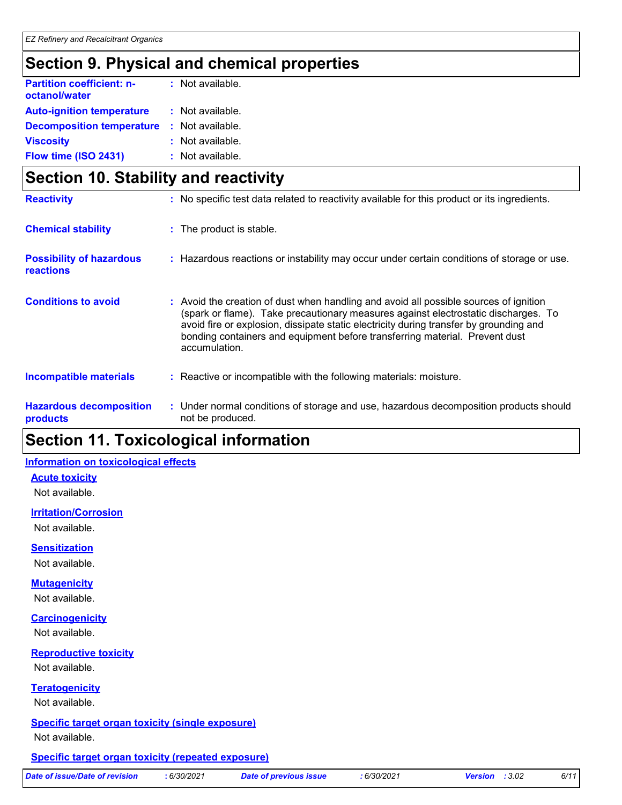# **Section 9. Physical and chemical properties**

| <b>Partition coefficient: n-</b><br>octanol/water | $:$ Not available. |
|---------------------------------------------------|--------------------|
| <b>Auto-ignition temperature</b>                  | : Not available.   |
| <b>Decomposition temperature</b>                  | : Not available.   |
| <b>Viscosity</b>                                  | : Not available.   |
| Flow time (ISO 2431)                              | : Not available.   |

|                                              | Section 10. Stability and reactivity |                                                                                                                                                                                                                                                                                                                                                                       |  |  |
|----------------------------------------------|--------------------------------------|-----------------------------------------------------------------------------------------------------------------------------------------------------------------------------------------------------------------------------------------------------------------------------------------------------------------------------------------------------------------------|--|--|
| <b>Reactivity</b>                            |                                      | : No specific test data related to reactivity available for this product or its ingredients.                                                                                                                                                                                                                                                                          |  |  |
| <b>Chemical stability</b>                    |                                      | : The product is stable.                                                                                                                                                                                                                                                                                                                                              |  |  |
| <b>Possibility of hazardous</b><br>reactions |                                      | : Hazardous reactions or instability may occur under certain conditions of storage or use.                                                                                                                                                                                                                                                                            |  |  |
| <b>Conditions to avoid</b>                   |                                      | : Avoid the creation of dust when handling and avoid all possible sources of ignition<br>(spark or flame). Take precautionary measures against electrostatic discharges. To<br>avoid fire or explosion, dissipate static electricity during transfer by grounding and<br>bonding containers and equipment before transferring material. Prevent dust<br>accumulation. |  |  |
| Incompatible materials                       |                                      | : Reactive or incompatible with the following materials: moisture.                                                                                                                                                                                                                                                                                                    |  |  |
| <b>Hazardous decomposition</b><br>products   |                                      | : Under normal conditions of storage and use, hazardous decomposition products should<br>not be produced.                                                                                                                                                                                                                                                             |  |  |

# **Section 11. Toxicological information**

#### **Information on toxicological effects**

**Acute toxicity**

Not available.

#### **Irritation/Corrosion**

Not available.

**Sensitization**

Not available.

#### **Mutagenicity**

Not available.

#### **Carcinogenicity**

Not available.

#### **Reproductive toxicity**

Not available.

#### **Teratogenicity**

Not available.

# **Specific target organ toxicity (single exposure)**

Not available.

#### **Specific target organ toxicity (repeated exposure)**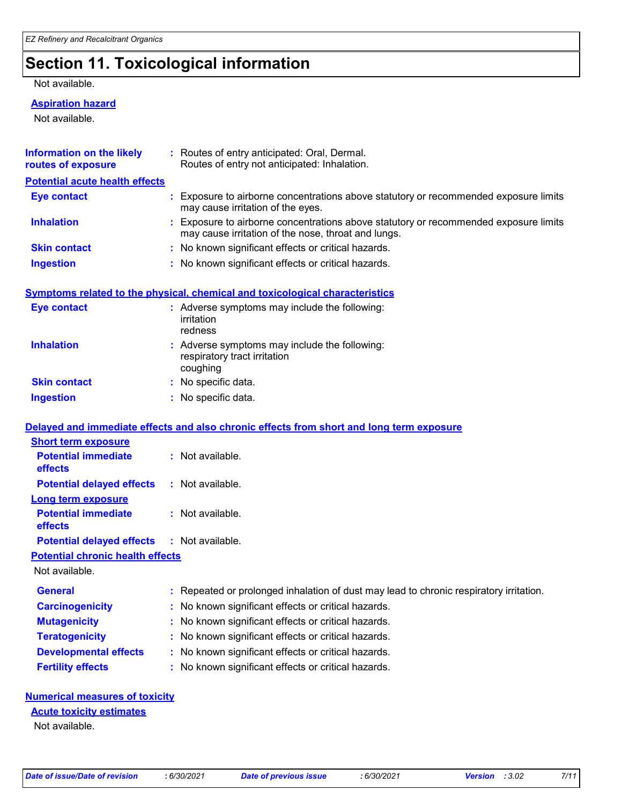# **Section 11. Toxicological information**

Not available.

#### **Aspiration hazard**

Not available.

| <b>Information on the likely</b><br>routes of exposure | : Routes of entry anticipated: Oral, Dermal.<br>Routes of entry not anticipated: Inhalation.                                                |
|--------------------------------------------------------|---------------------------------------------------------------------------------------------------------------------------------------------|
| <b>Potential acute health effects</b>                  |                                                                                                                                             |
| <b>Eye contact</b>                                     | Exposure to airborne concentrations above statutory or recommended exposure limits<br>may cause irritation of the eyes.                     |
| <b>Inhalation</b>                                      | : Exposure to airborne concentrations above statutory or recommended exposure limits<br>may cause irritation of the nose, throat and lungs. |
| <b>Skin contact</b>                                    | : No known significant effects or critical hazards.                                                                                         |
| <b>Ingestion</b>                                       | : No known significant effects or critical hazards.                                                                                         |
|                                                        | Symptoms related to the physical, chemical and toxicological characteristics                                                                |
| <b>Eye contact</b>                                     | : Adverse symptoms may include the following:<br>irritation<br>redness                                                                      |
| <b>Inhalation</b>                                      | : Adverse symptoms may include the following:<br>respiratory tract irritation<br>coughing                                                   |
| <b>Skin contact</b>                                    | No specific data.                                                                                                                           |
| <b>Ingestion</b>                                       | : No specific data.                                                                                                                         |
|                                                        | Delayed and immediate effects and also chronic effects from short and long term exposure                                                    |
| <b>Short term exposure</b>                             |                                                                                                                                             |
| <b>Potential immediate</b><br>effects                  | : Not available.                                                                                                                            |
| <b>Potential delayed effects</b>                       | : Not available.                                                                                                                            |
| <b>Long term exposure</b>                              |                                                                                                                                             |
| <b>Potential immediate</b><br>effects                  | : Not available.                                                                                                                            |
| <b>Potential delayed effects</b>                       | : Not available.                                                                                                                            |
| <b>Potential chronic health effects</b>                |                                                                                                                                             |
| Not available.                                         |                                                                                                                                             |
| General                                                | : Repeated or prolonged inhalation of dust may lead to chronic respiratory irritation.                                                      |
| <b>Carcinogenicity</b>                                 | : No known significant effects or critical hazards.                                                                                         |
| <b>Mutagenicity</b>                                    | No known significant effects or critical hazards.                                                                                           |
| <b>Teratogenicity</b>                                  | No known significant effects or critical hazards.                                                                                           |
| <b>Developmental effects</b>                           | No known significant effects or critical hazards.                                                                                           |
| <b>Fertility effects</b>                               | : No known significant effects or critical hazards.                                                                                         |
| <b>Numerical measures of toxicity</b>                  |                                                                                                                                             |

#### **Acute toxicity estimates**

Not available.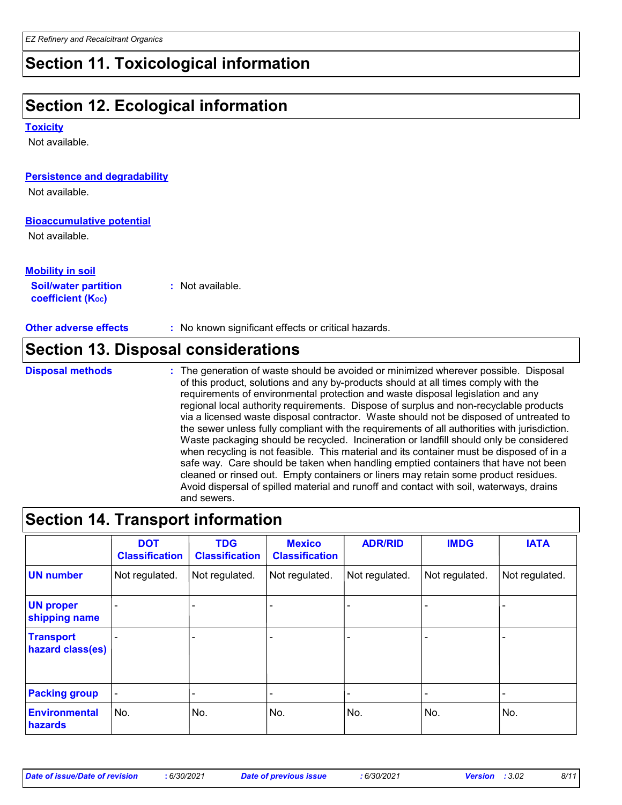# **Section 11. Toxicological information**

# **Section 12. Ecological information**

**Toxicity**

Not available.

| Political and an additional and                                                  | the constitution of constanting the constitution of the context of the constant of the constant in the constant |
|----------------------------------------------------------------------------------|-----------------------------------------------------------------------------------------------------------------|
|                                                                                  | <b>Section 13. Disposal considerations</b>                                                                      |
| <b>Other adverse effects</b>                                                     | : No known significant effects or critical hazards.                                                             |
| <b>Mobility in soil</b><br><b>Soil/water partition</b><br>coefficient $(K_{oc})$ | $:$ Not available.                                                                                              |
| <b>Bioaccumulative potential</b><br>Not available.                               |                                                                                                                 |
| Not available.                                                                   |                                                                                                                 |
| <b>Persistence and degradability</b>                                             |                                                                                                                 |

The generation of waste should be avoided or minimized wherever possible. Disposal of this product, solutions and any by-products should at all times comply with the requirements of environmental protection and waste disposal legislation and any regional local authority requirements. Dispose of surplus and non-recyclable products via a licensed waste disposal contractor. Waste should not be disposed of untreated to the sewer unless fully compliant with the requirements of all authorities with jurisdiction. Waste packaging should be recycled. Incineration or landfill should only be considered when recycling is not feasible. This material and its container must be disposed of in a safe way. Care should be taken when handling emptied containers that have not been cleaned or rinsed out. Empty containers or liners may retain some product residues. Avoid dispersal of spilled material and runoff and contact with soil, waterways, drains and sewers. **Disposal methods :**

## **Section 14. Transport information**

|                                      | <b>DOT</b><br><b>Classification</b> | <b>TDG</b><br><b>Classification</b> | <b>Mexico</b><br><b>Classification</b> | <b>ADR/RID</b> | <b>IMDG</b>              | <b>IATA</b>              |
|--------------------------------------|-------------------------------------|-------------------------------------|----------------------------------------|----------------|--------------------------|--------------------------|
| <b>UN number</b>                     | Not regulated.                      | Not regulated.                      | Not regulated.                         | Not regulated. | Not regulated.           | Not regulated.           |
| <b>UN proper</b><br>shipping name    |                                     |                                     |                                        |                |                          |                          |
| <b>Transport</b><br>hazard class(es) |                                     | $\overline{\phantom{0}}$            | -                                      | -              | $\qquad \qquad$          |                          |
| <b>Packing group</b>                 | $\overline{\phantom{a}}$            | $\overline{\phantom{0}}$            | -                                      | -              | $\overline{\phantom{0}}$ | $\overline{\phantom{0}}$ |
| <b>Environmental</b><br>hazards      | No.                                 | No.                                 | No.                                    | No.            | No.                      | No.                      |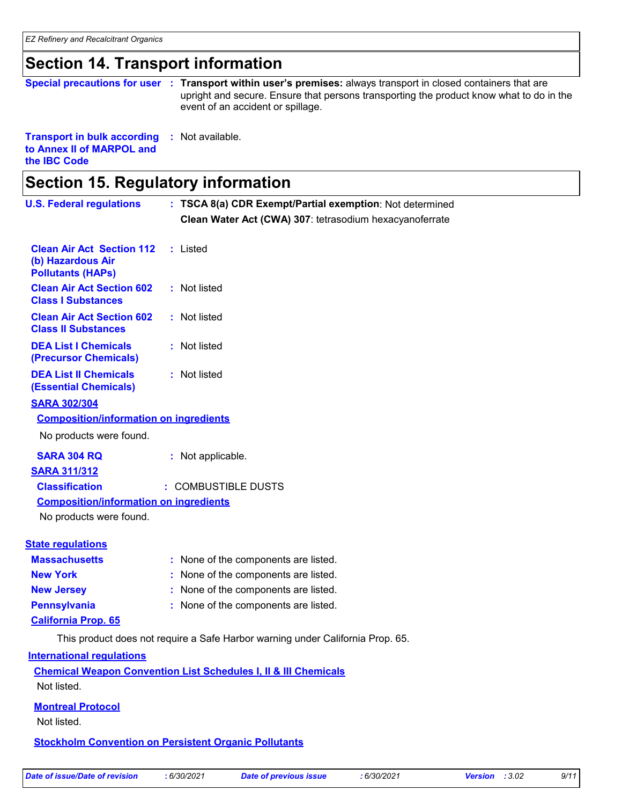### **Section 14. Transport information**

**Special precautions for user** : Transport within user's premises: always transport in closed containers that are upright and secure. Ensure that persons transporting the product know what to do in the event of an accident or spillage.

**Transport in bulk according :** Not available. **to Annex II of MARPOL and the IBC Code**

#### **Section 15. Regulatory information U.S. Federal regulations** None of the components are listed. **:** This product does not require a Safe Harbor warning under California Prop. 65. **Clean Water Act (CWA) 307**: tetrasodium hexacyanoferrate **Massachusetts : TSCA 8(a) CDR Exempt/Partial exemption**: Not determined **California Prop. 65 Clean Air Act Section 112 (b) Hazardous Air Pollutants (HAPs) :** Listed **Clean Air Act Section 602 Class I Substances :** Not listed **Clean Air Act Section 602 Class II Substances :** Not listed **DEA List I Chemicals (Precursor Chemicals) :** Not listed **DEA List II Chemicals (Essential Chemicals) :** Not listed **New York :** None of the components are listed. **New Jersey :** None of the components are listed. **Pennsylvania :** None of the components are listed. **State regulations SARA 302/304 SARA 304 RQ :** Not applicable. No products were found. **Composition/information on ingredients International regulations Chemical Weapon Convention List Schedules I, II & III Chemicals Montreal Protocol** Not listed. **Stockholm Convention on Persistent Organic Pollutants** Not listed. **SARA 311/312 Classification :** COMBUSTIBLE DUSTS No products were found. **Composition/information on ingredients**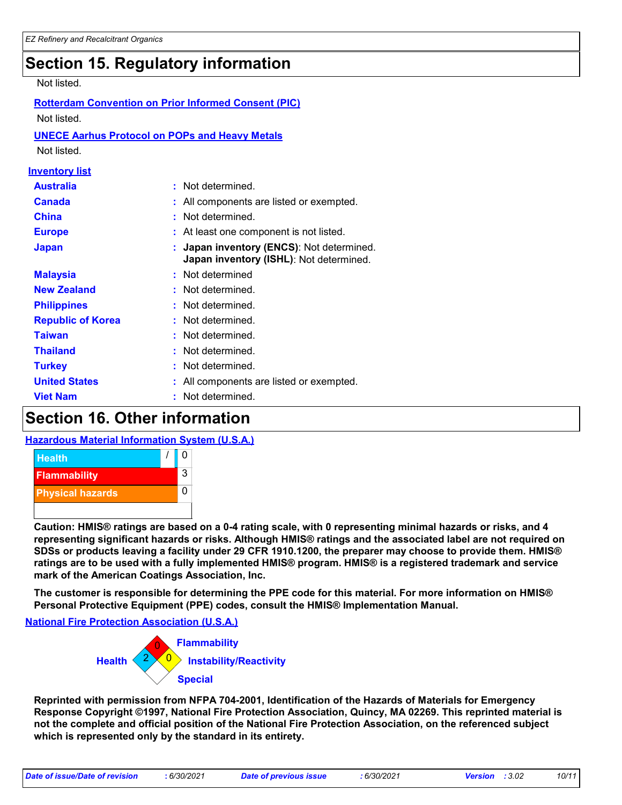# **Section 15. Regulatory information**

#### Not listed.

| <b>Australia</b><br>: Not determined.<br>Canada<br>All components are listed or exempted.<br>Not determined.<br><b>China</b><br><b>Europe</b><br>At least one component is not listed.<br>Japan inventory (ENCS): Not determined.<br><b>Japan</b><br>Japan inventory (ISHL): Not determined.<br>Not determined<br><b>Malaysia</b><br><b>New Zealand</b><br>Not determined.<br>Not determined.<br><b>Philippines</b><br><b>Republic of Korea</b><br>Not determined.<br>Not determined.<br>Taiwan<br><b>Thailand</b><br>Not determined.<br>Not determined.<br><b>Turkey</b><br><b>United States</b><br>All components are listed or exempted.<br><b>Viet Nam</b><br>Not determined. | Not listed<br><b>UNECE Aarhus Protocol on POPs and Heavy Metals</b><br>Not listed. | <b>Rotterdam Convention on Prior Informed Consent (PIC)</b> |
|-----------------------------------------------------------------------------------------------------------------------------------------------------------------------------------------------------------------------------------------------------------------------------------------------------------------------------------------------------------------------------------------------------------------------------------------------------------------------------------------------------------------------------------------------------------------------------------------------------------------------------------------------------------------------------------|------------------------------------------------------------------------------------|-------------------------------------------------------------|
|                                                                                                                                                                                                                                                                                                                                                                                                                                                                                                                                                                                                                                                                                   | <u>Inventory list</u>                                                              |                                                             |
|                                                                                                                                                                                                                                                                                                                                                                                                                                                                                                                                                                                                                                                                                   |                                                                                    |                                                             |
|                                                                                                                                                                                                                                                                                                                                                                                                                                                                                                                                                                                                                                                                                   |                                                                                    |                                                             |
|                                                                                                                                                                                                                                                                                                                                                                                                                                                                                                                                                                                                                                                                                   |                                                                                    |                                                             |
|                                                                                                                                                                                                                                                                                                                                                                                                                                                                                                                                                                                                                                                                                   |                                                                                    |                                                             |
|                                                                                                                                                                                                                                                                                                                                                                                                                                                                                                                                                                                                                                                                                   |                                                                                    |                                                             |
|                                                                                                                                                                                                                                                                                                                                                                                                                                                                                                                                                                                                                                                                                   |                                                                                    |                                                             |
|                                                                                                                                                                                                                                                                                                                                                                                                                                                                                                                                                                                                                                                                                   |                                                                                    |                                                             |
|                                                                                                                                                                                                                                                                                                                                                                                                                                                                                                                                                                                                                                                                                   |                                                                                    |                                                             |
|                                                                                                                                                                                                                                                                                                                                                                                                                                                                                                                                                                                                                                                                                   |                                                                                    |                                                             |
|                                                                                                                                                                                                                                                                                                                                                                                                                                                                                                                                                                                                                                                                                   |                                                                                    |                                                             |
|                                                                                                                                                                                                                                                                                                                                                                                                                                                                                                                                                                                                                                                                                   |                                                                                    |                                                             |
|                                                                                                                                                                                                                                                                                                                                                                                                                                                                                                                                                                                                                                                                                   |                                                                                    |                                                             |
|                                                                                                                                                                                                                                                                                                                                                                                                                                                                                                                                                                                                                                                                                   |                                                                                    |                                                             |
|                                                                                                                                                                                                                                                                                                                                                                                                                                                                                                                                                                                                                                                                                   |                                                                                    |                                                             |

# **Section 16. Other information**

#### **Hazardous Material Information System (U.S.A.)**



**Caution: HMIS® ratings are based on a 0-4 rating scale, with 0 representing minimal hazards or risks, and 4 representing significant hazards or risks. Although HMIS® ratings and the associated label are not required on SDSs or products leaving a facility under 29 CFR 1910.1200, the preparer may choose to provide them. HMIS® ratings are to be used with a fully implemented HMIS® program. HMIS® is a registered trademark and service mark of the American Coatings Association, Inc.**

**The customer is responsible for determining the PPE code for this material. For more information on HMIS® Personal Protective Equipment (PPE) codes, consult the HMIS® Implementation Manual.**

**National Fire Protection Association (U.S.A.)**



**Reprinted with permission from NFPA 704-2001, Identification of the Hazards of Materials for Emergency Response Copyright ©1997, National Fire Protection Association, Quincy, MA 02269. This reprinted material is not the complete and official position of the National Fire Protection Association, on the referenced subject which is represented only by the standard in its entirety.**